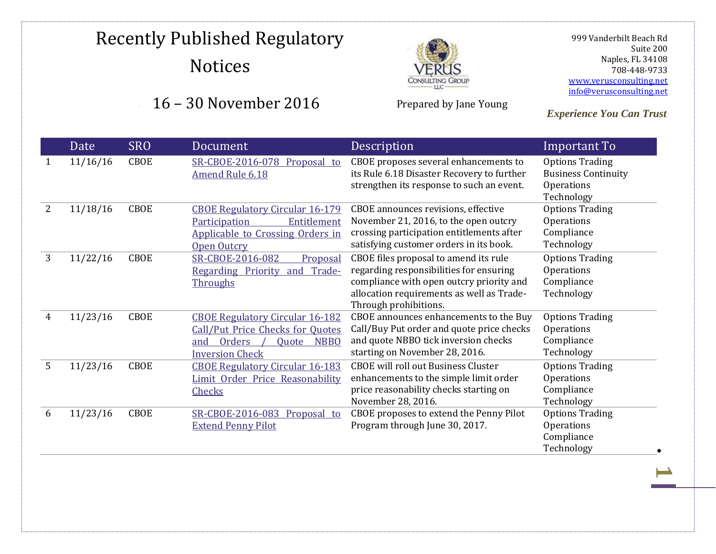### 16 – 30 November 2016



Prepared by Jane Young

 999 Vanderbilt Beach Rd Suite 200 Naples, FL 34108 708-448-9733 [www.verusconsulting.net](http://www.verusconsulting.net/) [info@verusconsulting.net](mailto:info@verusconsulting.net)

**1**

|                | Date     | <b>SRO</b>  | Document                                                                                                                                             | Description                                                                                                                                                                                        | <b>Important To</b>                                                              |
|----------------|----------|-------------|------------------------------------------------------------------------------------------------------------------------------------------------------|----------------------------------------------------------------------------------------------------------------------------------------------------------------------------------------------------|----------------------------------------------------------------------------------|
| 1              | 11/16/16 | CBOE        | SR-CBOE-2016-078 Proposal to<br><b>Amend Rule 6.18</b>                                                                                               | CBOE proposes several enhancements to<br>its Rule 6.18 Disaster Recovery to further<br>strengthen its response to such an event.                                                                   | <b>Options Trading</b><br><b>Business Continuity</b><br>Operations<br>Technology |
| $\overline{2}$ | 11/18/16 | CBOE        | <b>CBOE Regulatory Circular 16-179</b><br>Entitlement<br>Participation<br>Applicable to Crossing Orders in<br><b>Open Outcry</b>                     | CBOE announces revisions, effective<br>November 21, 2016, to the open outcry<br>crossing participation entitlements after<br>satisfying customer orders in its book.                               | <b>Options Trading</b><br>Operations<br>Compliance<br>Technology                 |
| 3              | 11/22/16 | <b>CBOE</b> | SR-CBOE-2016-082<br>Proposal<br>Regarding Priority and Trade-<br>Throughs                                                                            | CBOE files proposal to amend its rule<br>regarding responsibilities for ensuring<br>compliance with open outcry priority and<br>allocation requirements as well as Trade-<br>Through prohibitions. | <b>Options Trading</b><br>Operations<br>Compliance<br>Technology                 |
| 4              | 11/23/16 | <b>CBOE</b> | <b>CBOE Regulatory Circular 16-182</b><br><b>Call/Put Price Checks for Quotes</b><br>Orders<br>and<br><b>NBBO</b><br>Quote<br><b>Inversion Check</b> | CBOE announces enhancements to the Buy<br>Call/Buy Put order and quote price checks<br>and quote NBBO tick inversion checks<br>starting on November 28, 2016.                                      | <b>Options Trading</b><br>Operations<br>Compliance<br>Technology                 |
| 5              | 11/23/16 | CBOE        | <b>CBOE Regulatory Circular 16-183</b><br>Limit Order Price Reasonability<br><b>Checks</b>                                                           | <b>CBOE</b> will roll out Business Cluster<br>enhancements to the simple limit order<br>price reasonability checks starting on<br>November 28, 2016.                                               | <b>Options Trading</b><br>Operations<br>Compliance<br>Technology                 |
| 6              | 11/23/16 | <b>CBOE</b> | SR-CBOE-2016-083 Proposal to<br><b>Extend Penny Pilot</b>                                                                                            | CBOE proposes to extend the Penny Pilot<br>Program through June 30, 2017.                                                                                                                          | <b>Options Trading</b><br>Operations<br>Compliance<br>Technology                 |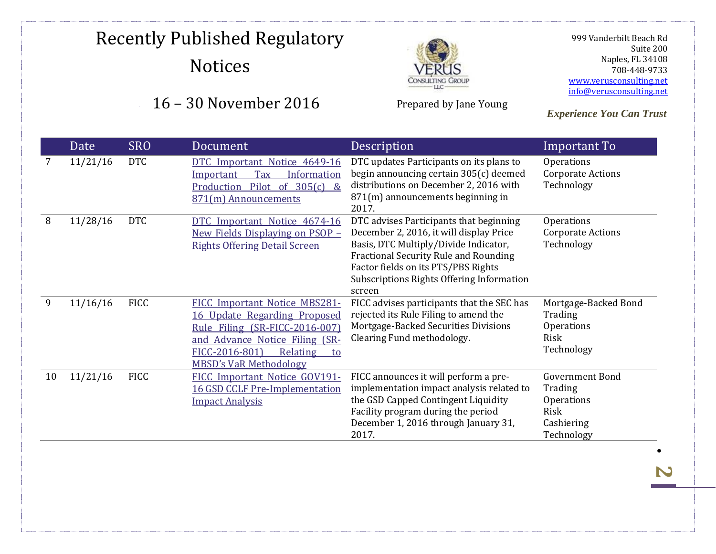### 16 – 30 November 2016



Prepared by Jane Young

 999 Vanderbilt Beach Rd Suite 200 Naples, FL 34108 708-448-9733 [www.verusconsulting.net](http://www.verusconsulting.net/) [info@verusconsulting.net](mailto:info@verusconsulting.net)

*Experience You Can Trust*

|    | Date     | <b>SRO</b>  | Document                                                                                                                                                                                               | Description                                                                                                                                                                                                                                                               | Important To                                                                        |
|----|----------|-------------|--------------------------------------------------------------------------------------------------------------------------------------------------------------------------------------------------------|---------------------------------------------------------------------------------------------------------------------------------------------------------------------------------------------------------------------------------------------------------------------------|-------------------------------------------------------------------------------------|
|    | 11/21/16 | <b>DTC</b>  | DTC Important Notice 4649-16<br>Tax<br>Information<br><u>Important</u><br>Pilot<br>of $305(c)$ &<br>Production<br>871(m) Announcements                                                                 | DTC updates Participants on its plans to<br>begin announcing certain 305(c) deemed<br>distributions on December 2, 2016 with<br>871(m) announcements beginning in<br>2017.                                                                                                | Operations<br><b>Corporate Actions</b><br>Technology                                |
| 8  | 11/28/16 | <b>DTC</b>  | DTC Important Notice 4674-16<br><u>New Fields Displaying on PSOP –</u><br><b>Rights Offering Detail Screen</b>                                                                                         | DTC advises Participants that beginning<br>December 2, 2016, it will display Price<br>Basis, DTC Multiply/Divide Indicator,<br><b>Fractional Security Rule and Rounding</b><br>Factor fields on its PTS/PBS Rights<br>Subscriptions Rights Offering Information<br>screen | Operations<br>Corporate Actions<br>Technology                                       |
| 9  | 11/16/16 | <b>FICC</b> | FICC Important Notice MBS281-<br>16 Update Regarding Proposed<br>Rule Filing (SR-FICC-2016-007)<br>and Advance Notice Filing (SR-<br>FICC-2016-801)<br>Relating<br>to<br><b>MBSD's VaR Methodology</b> | FICC advises participants that the SEC has<br>rejected its Rule Filing to amend the<br>Mortgage-Backed Securities Divisions<br>Clearing Fund methodology.                                                                                                                 | Mortgage-Backed Bond<br>Trading<br>Operations<br>Risk<br>Technology                 |
| 10 | 11/21/16 | <b>FICC</b> | FICC Important Notice GOV191-<br>16 GSD CCLF Pre-Implementation<br><b>Impact Analysis</b>                                                                                                              | FICC announces it will perform a pre-<br>implementation impact analysis related to<br>the GSD Capped Contingent Liquidity<br>Facility program during the period<br>December 1, 2016 through January 31,<br>2017.                                                          | <b>Government Bond</b><br>Trading<br>Operations<br>Risk<br>Cashiering<br>Technology |

 $\bullet$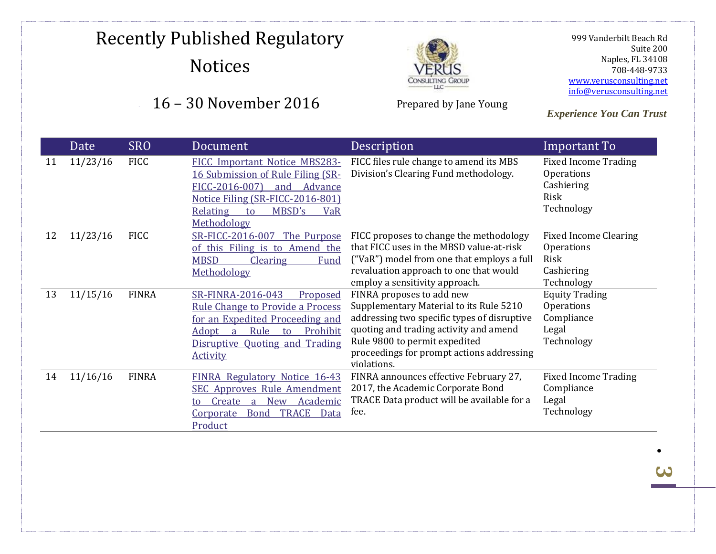#### 16 – 30 November 2016



Prepared by Jane Young

 999 Vanderbilt Beach Rd Suite 200 Naples, FL 34108 708-448-9733 [www.verusconsulting.net](http://www.verusconsulting.net/) [info@verusconsulting.net](mailto:info@verusconsulting.net)

*Experience You Can Trust*

|    | Date     | <b>SRO</b>   | Document                                                                                                                                                                                                                     | Description                                                                                                                                                                                                                                                | Important To                                                                          |
|----|----------|--------------|------------------------------------------------------------------------------------------------------------------------------------------------------------------------------------------------------------------------------|------------------------------------------------------------------------------------------------------------------------------------------------------------------------------------------------------------------------------------------------------------|---------------------------------------------------------------------------------------|
| 11 | 11/23/16 | <b>FICC</b>  | FICC Important Notice MBS283-<br>16 Submission of Rule Filing (SR-<br>FICC-2016-007)<br>and<br>Advance<br>Notice Filing (SR-FICC-2016-801)<br>MBSD's<br>Relating<br>VaR<br>to<br>Methodology                                 | FICC files rule change to amend its MBS<br>Division's Clearing Fund methodology.                                                                                                                                                                           | <b>Fixed Income Trading</b><br><b>Operations</b><br>Cashiering<br>Risk<br>Technology  |
| 12 | 11/23/16 | <b>FICC</b>  | SR-FICC-2016-007 The Purpose<br>of this Filing is to Amend the<br><b>MBSD</b><br><b>Clearing</b><br>Fund<br>Methodology                                                                                                      | FICC proposes to change the methodology<br>that FICC uses in the MBSD value-at-risk<br>("VaR") model from one that employs a full<br>revaluation approach to one that would<br>employ a sensitivity approach.                                              | <b>Fixed Income Clearing</b><br><b>Operations</b><br>Risk<br>Cashiering<br>Technology |
| 13 | 11/15/16 | <b>FINRA</b> | SR-FINRA-2016-043<br>Proposed<br><b>Rule Change to Provide a Process</b><br>for an Expedited Proceeding and<br>Adopt<br>Rule<br>Prohibit<br>$\overline{a}$<br>to<br><b>Disruptive Quoting and Trading</b><br><b>Activity</b> | FINRA proposes to add new<br>Supplementary Material to its Rule 5210<br>addressing two specific types of disruptive<br>quoting and trading activity and amend<br>Rule 9800 to permit expedited<br>proceedings for prompt actions addressing<br>violations. | <b>Equity Trading</b><br>Operations<br>Compliance<br>Legal<br>Technology              |
| 14 | 11/16/16 | <b>FINRA</b> | FINRA Regulatory Notice 16-43<br><b>SEC Approves Rule Amendment</b><br>Create<br><b>New</b><br>Academic<br>a<br><b>TRACE</b><br><b>Bond</b><br>Data<br><u>Corporate</u><br>Product                                           | FINRA announces effective February 27,<br>2017, the Academic Corporate Bond<br>TRACE Data product will be available for a<br>fee.                                                                                                                          | <b>Fixed Income Trading</b><br>Compliance<br>Legal<br>Technology                      |

<u>بری</u>

 $\bullet$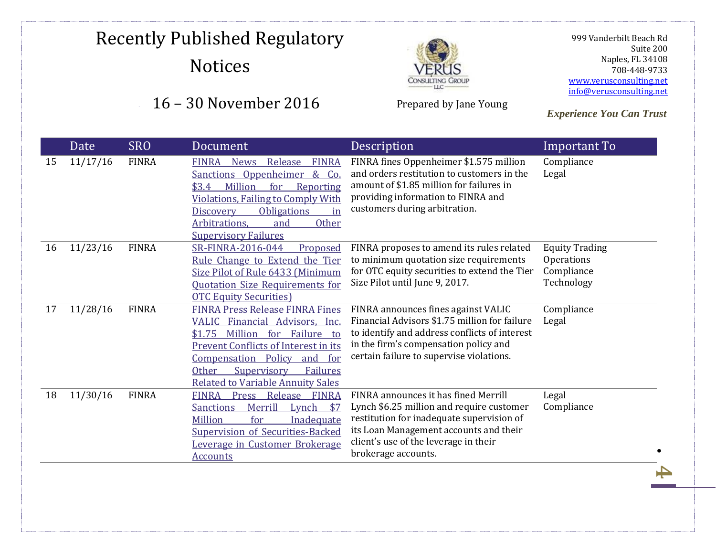### 16 – 30 November 2016



Prepared by Jane Young

 999 Vanderbilt Beach Rd Suite 200 Naples, FL 34108 708-448-9733 [www.verusconsulting.net](http://www.verusconsulting.net/) [info@verusconsulting.net](mailto:info@verusconsulting.net)

**4**

|    | <b>Date</b> | <b>SRO</b>   | Document                                                                                                                                                                                                                                                                                                     | Description                                                                                                                                                                                                                              | Important To                                                    |
|----|-------------|--------------|--------------------------------------------------------------------------------------------------------------------------------------------------------------------------------------------------------------------------------------------------------------------------------------------------------------|------------------------------------------------------------------------------------------------------------------------------------------------------------------------------------------------------------------------------------------|-----------------------------------------------------------------|
| 15 | 11/17/16    | <b>FINRA</b> | Release<br><b>FINRA</b><br><b>FINRA</b><br><b>News</b><br>Sanctions Oppenheimer<br>$\&$<br>Co.<br>Million<br>for<br>\$3.4\$<br>Reporting<br><b>Violations, Failing to Comply With</b><br><b>Obligations</b><br><b>Discovery</b><br>in<br>Arbitrations,<br>and<br><b>Other</b><br><b>Supervisory Failures</b> | FINRA fines Oppenheimer \$1.575 million<br>and orders restitution to customers in the<br>amount of \$1.85 million for failures in<br>providing information to FINRA and<br>customers during arbitration.                                 | Compliance<br>Legal                                             |
| 16 | 11/23/16    | <b>FINRA</b> | SR-FINRA-2016-044<br>Proposed<br>Rule Change to Extend the Tier<br>Size Pilot of Rule 6433 (Minimum<br><b>Quotation Size Requirements for</b><br><b>OTC Equity Securities</b> )                                                                                                                              | FINRA proposes to amend its rules related<br>to minimum quotation size requirements<br>for OTC equity securities to extend the Tier<br>Size Pilot until June 9, 2017.                                                                    | <b>Equity Trading</b><br>Operations<br>Compliance<br>Technology |
| 17 | 11/28/16    | <b>FINRA</b> | <b>FINRA Press Release FINRA Fines</b><br>VALIC Financial Advisors, Inc.<br>Million<br>for<br>Failure to<br>\$1.75<br><b>Prevent Conflicts of Interest in its</b><br>Compensation Policy<br>and for<br><b>Other</b><br>Supervisory<br>Failures<br><b>Related to Variable Annuity Sales</b>                   | FINRA announces fines against VALIC<br>Financial Advisors \$1.75 million for failure<br>to identify and address conflicts of interest<br>in the firm's compensation policy and<br>certain failure to supervise violations.               | Compliance<br>Legal                                             |
| 18 | 11/30/16    | <b>FINRA</b> | Release<br><b>Press</b><br><b>FINRA</b><br><b>FINRA</b><br>Merrill<br>Lynch<br>\$7<br><b>Sanctions</b><br>Million<br>for<br><b>Inadequate</b><br><b>Supervision of Securities-Backed</b><br>Leverage in Customer Brokerage<br><b>Accounts</b>                                                                | FINRA announces it has fined Merrill<br>Lynch \$6.25 million and require customer<br>restitution for inadequate supervision of<br>its Loan Management accounts and their<br>client's use of the leverage in their<br>brokerage accounts. | Legal<br>Compliance                                             |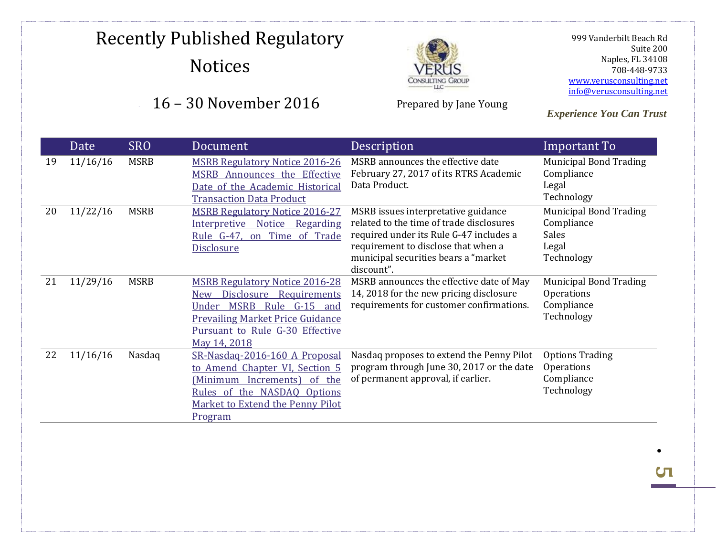### 16 – 30 November 2016



Prepared by Jane Young

 999 Vanderbilt Beach Rd Suite 200 Naples, FL 34108 708-448-9733 [www.verusconsulting.net](http://www.verusconsulting.net/) [info@verusconsulting.net](mailto:info@verusconsulting.net)

*Experience You Can Trust*

|    | Date     | <b>SRO</b>  | Document                                                                                                                                                                                                          | Description                                                                                                                                                                                                              | Important To                                                                       |
|----|----------|-------------|-------------------------------------------------------------------------------------------------------------------------------------------------------------------------------------------------------------------|--------------------------------------------------------------------------------------------------------------------------------------------------------------------------------------------------------------------------|------------------------------------------------------------------------------------|
| 19 | 11/16/16 | <b>MSRB</b> | <b>MSRB Regulatory Notice 2016-26</b><br>MSRB Announces the Effective<br>Date of the Academic Historical<br><b>Transaction Data Product</b>                                                                       | MSRB announces the effective date<br>February 27, 2017 of its RTRS Academic<br>Data Product.                                                                                                                             | <b>Municipal Bond Trading</b><br>Compliance<br>Legal<br>Technology                 |
| 20 | 11/22/16 | <b>MSRB</b> | <b>MSRB Regulatory Notice 2016-27</b><br>Interpretive Notice Regarding<br>Rule G-47, on Time of Trade<br><b>Disclosure</b>                                                                                        | MSRB issues interpretative guidance<br>related to the time of trade disclosures<br>required under its Rule G-47 includes a<br>requirement to disclose that when a<br>municipal securities bears a "market"<br>discount". | <b>Municipal Bond Trading</b><br>Compliance<br><b>Sales</b><br>Legal<br>Technology |
| 21 | 11/29/16 | <b>MSRB</b> | <b>MSRB Regulatory Notice 2016-28</b><br>Disclosure<br>Requirements<br>New<br><b>MSRB</b><br>Rule G-15 and<br>Under<br><b>Prevailing Market Price Guidance</b><br>Pursuant to Rule G-30 Effective<br>May 14, 2018 | MSRB announces the effective date of May<br>14, 2018 for the new pricing disclosure<br>requirements for customer confirmations.                                                                                          | <b>Municipal Bond Trading</b><br>Operations<br>Compliance<br>Technology            |
| 22 | 11/16/16 | Nasdaq      | SR-Nasdag-2016-160 A Proposal<br>to Amend Chapter VI, Section 5<br>(Minimum Increments) of the<br>Rules of the NASDAQ Options<br>Market to Extend the Penny Pilot<br>Program                                      | Nasdaq proposes to extend the Penny Pilot<br>program through June 30, 2017 or the date<br>of permanent approval, if earlier.                                                                                             | <b>Options Trading</b><br>Operations<br>Compliance<br>Technology                   |

 $\bullet$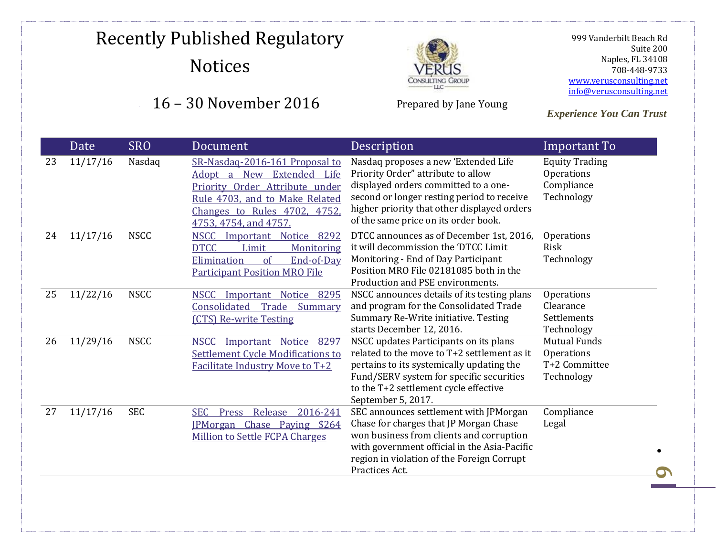### 16 – 30 November 2016



Prepared by Jane Young

 999 Vanderbilt Beach Rd Suite 200 Naples, FL 34108 708-448-9733 [www.verusconsulting.net](http://www.verusconsulting.net/) [info@verusconsulting.net](mailto:info@verusconsulting.net)

|    | Date     | <b>SRO</b>  | Document                                                                                                                                                                                 | Description                                                                                                                                                                                                                                             | Important To                                                     |
|----|----------|-------------|------------------------------------------------------------------------------------------------------------------------------------------------------------------------------------------|---------------------------------------------------------------------------------------------------------------------------------------------------------------------------------------------------------------------------------------------------------|------------------------------------------------------------------|
| 23 | 11/17/16 | Nasdaq      | SR-Nasdaq-2016-161 Proposal to<br>Adopt a New Extended Life<br>Priority Order Attribute under<br>Rule 4703, and to Make Related<br>Changes to Rules 4702, 4752,<br>4753, 4754, and 4757. | Nasdaq proposes a new 'Extended Life<br>Priority Order" attribute to allow<br>displayed orders committed to a one-<br>second or longer resting period to receive<br>higher priority that other displayed orders<br>of the same price on its order book. | <b>Equity Trading</b><br>Operations<br>Compliance<br>Technology  |
| 24 | 11/17/16 | <b>NSCC</b> | NSCC Important Notice 8292<br><b>DTCC</b><br>Limit<br>Monitoring<br>of<br>Elimination<br>End-of-Day<br><b>Participant Position MRO File</b>                                              | DTCC announces as of December 1st, 2016,<br>it will decommission the 'DTCC Limit<br>Monitoring - End of Day Participant<br>Position MRO File 02181085 both in the<br>Production and PSE environments.                                                   | Operations<br>Risk<br>Technology                                 |
| 25 | 11/22/16 | <b>NSCC</b> | NSCC Important Notice 8295<br>Consolidated<br>Trade Summary<br>(CTS) Re-write Testing                                                                                                    | NSCC announces details of its testing plans<br>and program for the Consolidated Trade<br>Summary Re-Write initiative. Testing<br>starts December 12, 2016.                                                                                              | Operations<br>Clearance<br>Settlements<br>Technology             |
| 26 | 11/29/16 | <b>NSCC</b> | Important Notice<br>8297<br><b>NSCC</b><br><b>Settlement Cycle Modifications to</b><br><b>Facilitate Industry Move to T+2</b>                                                            | NSCC updates Participants on its plans<br>related to the move to T+2 settlement as it<br>pertains to its systemically updating the<br>Fund/SERV system for specific securities<br>to the T+2 settlement cycle effective<br>September 5, 2017.           | <b>Mutual Funds</b><br>Operations<br>T+2 Committee<br>Technology |
| 27 | 11/17/16 | <b>SEC</b>  | Press Release<br>2016-241<br><b>SEC</b><br>IPMorgan Chase Paying \$264<br><b>Million to Settle FCPA Charges</b>                                                                          | SEC announces settlement with JPMorgan<br>Chase for charges that JP Morgan Chase<br>won business from clients and corruption<br>with government official in the Asia-Pacific<br>region in violation of the Foreign Corrupt<br>Practices Act.            | Compliance<br>Legal                                              |